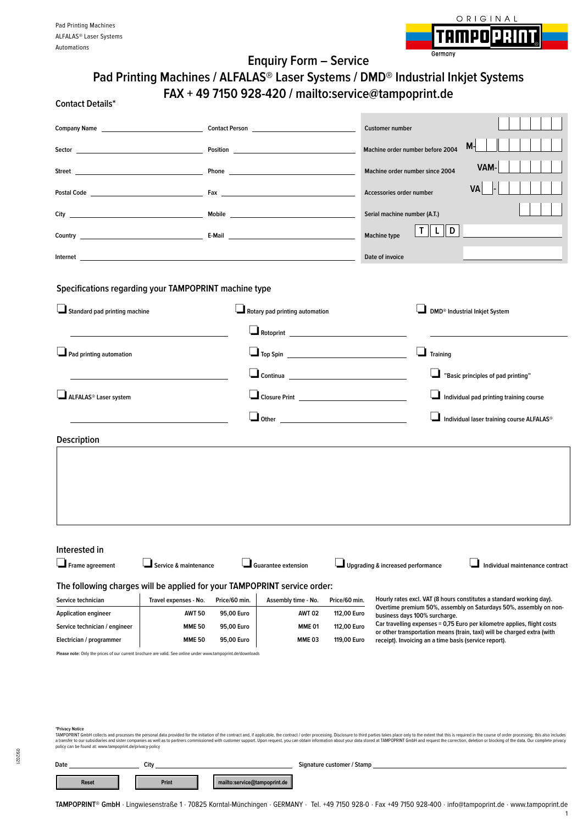

|                                                           | Pad Printing Machines / ALFALAS® Laser Systems / DMD® Industrial Inkjet Systems                              |                                              | <b>Enquiry Form - Service</b>                        |                            |                                           |                                                       |                                                                                                                                                                                                                                                                                                                                                                                                                                                                 |  |
|-----------------------------------------------------------|--------------------------------------------------------------------------------------------------------------|----------------------------------------------|------------------------------------------------------|----------------------------|-------------------------------------------|-------------------------------------------------------|-----------------------------------------------------------------------------------------------------------------------------------------------------------------------------------------------------------------------------------------------------------------------------------------------------------------------------------------------------------------------------------------------------------------------------------------------------------------|--|
| <b>Contact Details*</b>                                   |                                                                                                              |                                              | FAX + 49 7150 928-420 / mailto:service@tampoprint.de |                            |                                           |                                                       |                                                                                                                                                                                                                                                                                                                                                                                                                                                                 |  |
|                                                           |                                                                                                              | <b>Company Name Community Contact Person</b> |                                                      |                            | <b>Customer number</b>                    |                                                       |                                                                                                                                                                                                                                                                                                                                                                                                                                                                 |  |
|                                                           |                                                                                                              |                                              |                                                      |                            |                                           | Machine order number before 2004                      | $M -$                                                                                                                                                                                                                                                                                                                                                                                                                                                           |  |
|                                                           |                                                                                                              |                                              |                                                      |                            |                                           | Machine order number since 2004                       | VAM-                                                                                                                                                                                                                                                                                                                                                                                                                                                            |  |
|                                                           |                                                                                                              |                                              |                                                      |                            |                                           |                                                       | VA                                                                                                                                                                                                                                                                                                                                                                                                                                                              |  |
|                                                           |                                                                                                              |                                              |                                                      |                            | Accessories order number                  |                                                       |                                                                                                                                                                                                                                                                                                                                                                                                                                                                 |  |
|                                                           |                                                                                                              |                                              |                                                      |                            | Serial machine number (A.T.)              |                                                       |                                                                                                                                                                                                                                                                                                                                                                                                                                                                 |  |
|                                                           |                                                                                                              |                                              |                                                      |                            | Machine type                              | T<br>D<br>L,                                          |                                                                                                                                                                                                                                                                                                                                                                                                                                                                 |  |
|                                                           |                                                                                                              |                                              |                                                      |                            | Date of invoice                           |                                                       |                                                                                                                                                                                                                                                                                                                                                                                                                                                                 |  |
|                                                           |                                                                                                              |                                              |                                                      |                            |                                           |                                                       |                                                                                                                                                                                                                                                                                                                                                                                                                                                                 |  |
|                                                           | Specifications regarding your TAMPOPRINT machine type                                                        |                                              |                                                      |                            |                                           |                                                       |                                                                                                                                                                                                                                                                                                                                                                                                                                                                 |  |
| Standard pad printing machine                             |                                                                                                              | Rotary pad printing automation               |                                                      |                            | DMD <sup>®</sup> Industrial Inkjet System |                                                       |                                                                                                                                                                                                                                                                                                                                                                                                                                                                 |  |
|                                                           |                                                                                                              |                                              |                                                      |                            |                                           |                                                       |                                                                                                                                                                                                                                                                                                                                                                                                                                                                 |  |
| Pad printing automation                                   |                                                                                                              |                                              |                                                      |                            | ⊔<br>Training                             |                                                       |                                                                                                                                                                                                                                                                                                                                                                                                                                                                 |  |
|                                                           |                                                                                                              |                                              |                                                      |                            | "Basic principles of pad printing"        |                                                       |                                                                                                                                                                                                                                                                                                                                                                                                                                                                 |  |
|                                                           |                                                                                                              |                                              |                                                      |                            |                                           |                                                       |                                                                                                                                                                                                                                                                                                                                                                                                                                                                 |  |
| ALFALAS® Laser system                                     |                                                                                                              |                                              | <u>Closure Print ____________________________</u>    |                            |                                           | Individual pad printing training course               |                                                                                                                                                                                                                                                                                                                                                                                                                                                                 |  |
|                                                           |                                                                                                              |                                              |                                                      |                            |                                           |                                                       | Individual laser training course ALFALAS®                                                                                                                                                                                                                                                                                                                                                                                                                       |  |
| <b>Description</b>                                        |                                                                                                              |                                              |                                                      |                            |                                           |                                                       |                                                                                                                                                                                                                                                                                                                                                                                                                                                                 |  |
|                                                           |                                                                                                              |                                              |                                                      |                            |                                           |                                                       |                                                                                                                                                                                                                                                                                                                                                                                                                                                                 |  |
| Interested in                                             |                                                                                                              |                                              |                                                      |                            |                                           |                                                       |                                                                                                                                                                                                                                                                                                                                                                                                                                                                 |  |
| Frame agreement                                           | Service & maintenance                                                                                        |                                              | <b>Guarantee extension</b>                           |                            | Upgrading & increased performance         |                                                       | Individual maintenance contract                                                                                                                                                                                                                                                                                                                                                                                                                                 |  |
|                                                           | The following charges will be applied for your TAMPOPRINT service order:                                     |                                              |                                                      |                            |                                           |                                                       |                                                                                                                                                                                                                                                                                                                                                                                                                                                                 |  |
| Service technician                                        | Travel expenses - No.                                                                                        | Price/60 min.                                | Assembly time - No.                                  | Price/60 min.              |                                           |                                                       | Hourly rates excl. VAT (8 hours constitutes a standard working day).<br>Overtime premium 50%, assembly on Saturdays 50%, assembly on non-                                                                                                                                                                                                                                                                                                                       |  |
| <b>Application engineer</b>                               | <b>AWT 50</b><br><b>MME 50</b>                                                                               | <b>AWT 02</b><br>95,00 Euro<br><b>MME 01</b> |                                                      | 112,00 Euro                | business days 100% surcharge.             |                                                       | Car travelling expenses = 0,75 Euro per kilometre applies, flight costs                                                                                                                                                                                                                                                                                                                                                                                         |  |
| Service technician / engineer<br>Electrician / programmer | <b>MME 50</b>                                                                                                | 95,00 Euro<br>95,00 Euro                     | <b>MME03</b>                                         | 112,00 Euro<br>119,00 Euro |                                           | receipt). Invoicing an a time basis (service report). | or other transportation means (train, taxi) will be charged extra (with                                                                                                                                                                                                                                                                                                                                                                                         |  |
|                                                           | Please note: Only the prices of our current brochure are valid. See online under www.tampoprint.de/downloads |                                              |                                                      |                            |                                           |                                                       |                                                                                                                                                                                                                                                                                                                                                                                                                                                                 |  |
| *Privacy Notice                                           |                                                                                                              |                                              |                                                      |                            |                                           |                                                       | TAMPOPRINT GmbH collects and processes the personal data provided for the initiation of the contract and, if applicable, the contract/order processing. Disclosure to third parties takes place only to the extent that this i<br>a transfer to our subsidiaries and sister companies as well as to partners commissioned with customer support. Upon request, you can obtain information about your data stored at TAMPOPRINT GmbH and request the correction, |  |

**Date City Signature customer / Stamp Reset Print Print mailto:service@tampoprint.de**